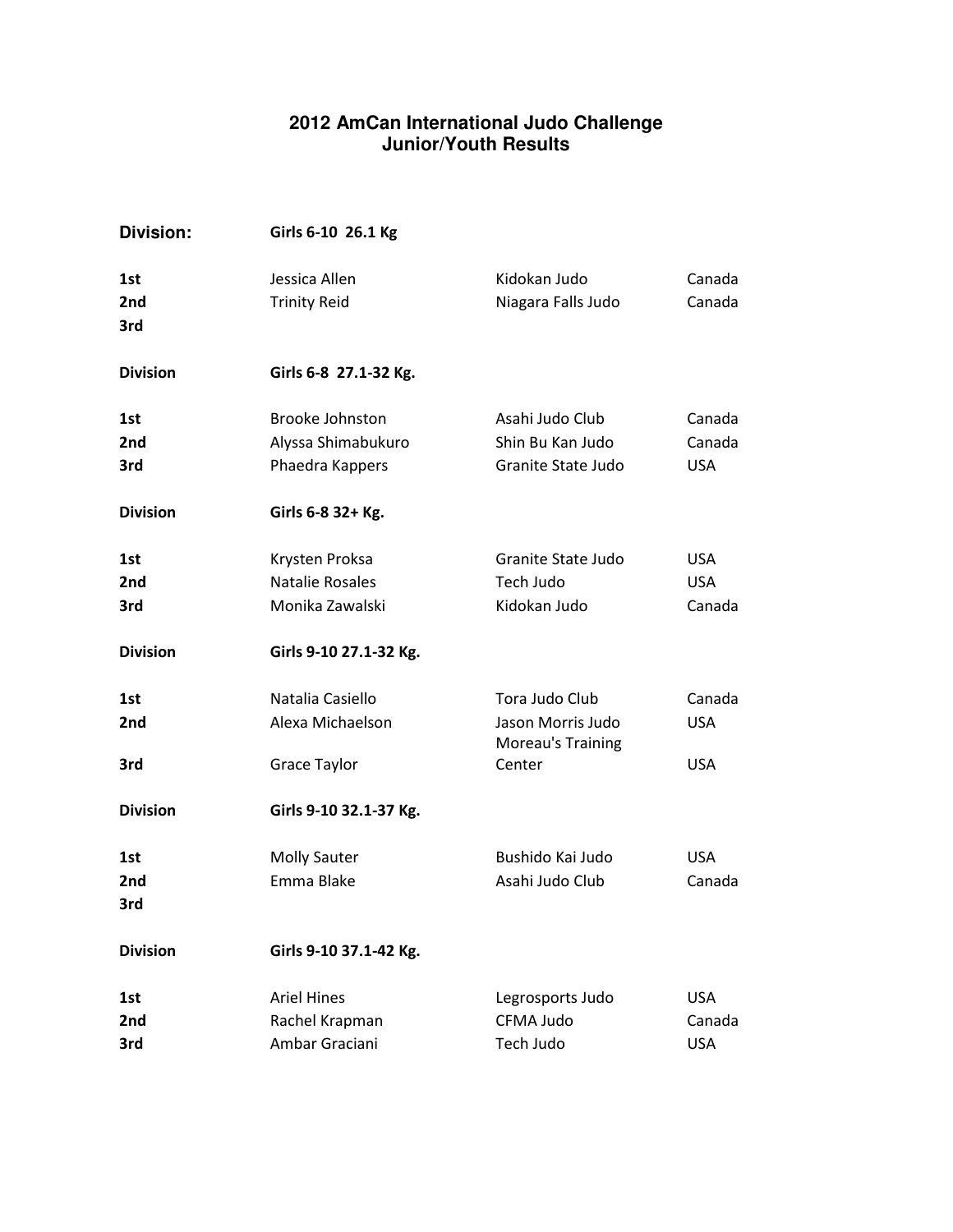## **2012 AmCan International Judo Challenge Junior/Youth Results**

| <b>Division:</b>  | Girls 6-10 26.1 Kg                                              |                                                                    |                                    |
|-------------------|-----------------------------------------------------------------|--------------------------------------------------------------------|------------------------------------|
| 1st<br>2nd<br>3rd | Jessica Allen<br><b>Trinity Reid</b>                            | Kidokan Judo<br>Niagara Falls Judo                                 | Canada<br>Canada                   |
| <b>Division</b>   | Girls 6-8 27.1-32 Kg.                                           |                                                                    |                                    |
| 1st<br>2nd<br>3rd | <b>Brooke Johnston</b><br>Alyssa Shimabukuro<br>Phaedra Kappers | Asahi Judo Club<br>Shin Bu Kan Judo<br>Granite State Judo          | Canada<br>Canada<br><b>USA</b>     |
| <b>Division</b>   | Girls 6-8 32+ Kg.                                               |                                                                    |                                    |
| 1st<br>2nd<br>3rd | Krysten Proksa<br>Natalie Rosales<br>Monika Zawalski            | Granite State Judo<br>Tech Judo<br>Kidokan Judo                    | <b>USA</b><br><b>USA</b><br>Canada |
| <b>Division</b>   | Girls 9-10 27.1-32 Kg.                                          |                                                                    |                                    |
| 1st<br>2nd<br>3rd | Natalia Casiello<br>Alexa Michaelson<br>Grace Taylor            | Tora Judo Club<br>Jason Morris Judo<br>Moreau's Training<br>Center | Canada<br><b>USA</b><br><b>USA</b> |
| <b>Division</b>   | Girls 9-10 32.1-37 Kg.                                          |                                                                    |                                    |
| 1st<br>2nd<br>3rd | <b>Molly Sauter</b><br>Emma Blake                               | Bushido Kai Judo<br>Asahi Judo Club                                | <b>USA</b><br>Canada               |
| <b>Division</b>   | Girls 9-10 37.1-42 Kg.                                          |                                                                    |                                    |
| 1st<br>2nd<br>3rd | <b>Ariel Hines</b><br>Rachel Krapman<br>Ambar Graciani          | Legrosports Judo<br>CFMA Judo<br>Tech Judo                         | <b>USA</b><br>Canada<br><b>USA</b> |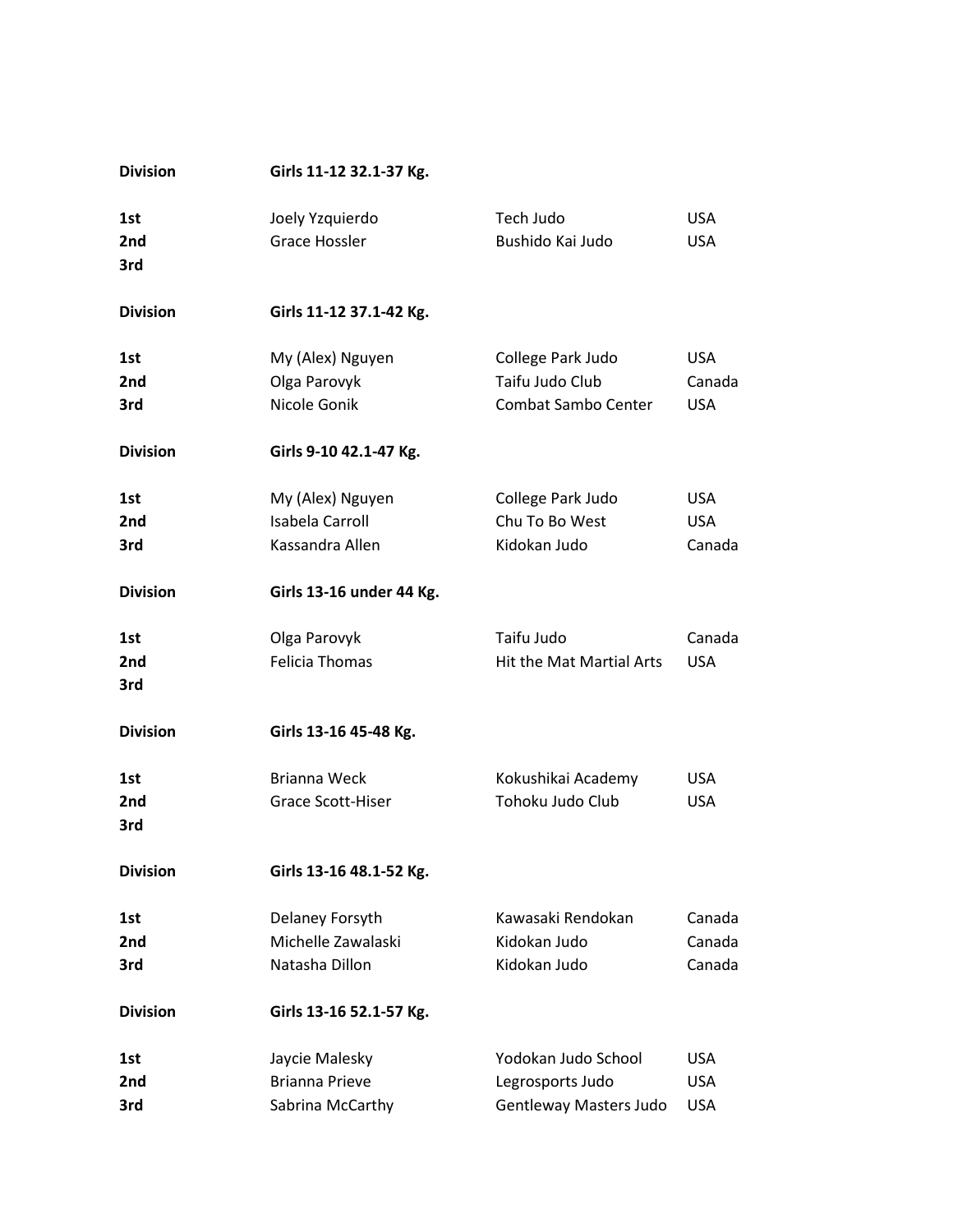| <b>Division</b> | Girls 11-12 32.1-37 Kg.  |                                 |            |
|-----------------|--------------------------|---------------------------------|------------|
| 1st             | Joely Yzquierdo          | Tech Judo                       | <b>USA</b> |
| 2nd             | Grace Hossler            | Bushido Kai Judo                | <b>USA</b> |
| 3rd             |                          |                                 |            |
| <b>Division</b> | Girls 11-12 37.1-42 Kg.  |                                 |            |
| 1st             | My (Alex) Nguyen         | College Park Judo               | <b>USA</b> |
| 2nd             | Olga Parovyk             | Taifu Judo Club                 | Canada     |
| 3rd             | Nicole Gonik             | <b>Combat Sambo Center</b>      | <b>USA</b> |
| <b>Division</b> | Girls 9-10 42.1-47 Kg.   |                                 |            |
| 1st             | My (Alex) Nguyen         | College Park Judo               | <b>USA</b> |
| 2nd             | <b>Isabela Carroll</b>   | Chu To Bo West                  | <b>USA</b> |
| 3rd             | Kassandra Allen          | Kidokan Judo                    | Canada     |
| <b>Division</b> | Girls 13-16 under 44 Kg. |                                 |            |
| 1st             | Olga Parovyk             | Taifu Judo                      | Canada     |
| 2nd             | <b>Felicia Thomas</b>    | <b>Hit the Mat Martial Arts</b> | <b>USA</b> |
| 3rd             |                          |                                 |            |
| <b>Division</b> | Girls 13-16 45-48 Kg.    |                                 |            |
| 1st             | <b>Brianna Weck</b>      | Kokushikai Academy              | <b>USA</b> |
| 2nd             | Grace Scott-Hiser        | Tohoku Judo Club                | <b>USA</b> |
| 3rd             |                          |                                 |            |
| <b>Division</b> | Girls 13-16 48.1-52 Kg.  |                                 |            |
| 1st             | Delaney Forsyth          | Kawasaki Rendokan               | Canada     |
| 2nd             | Michelle Zawalaski       | Kidokan Judo                    | Canada     |
| 3rd             | Natasha Dillon           | Kidokan Judo                    | Canada     |
| <b>Division</b> | Girls 13-16 52.1-57 Kg.  |                                 |            |
| 1st             | Jaycie Malesky           | Yodokan Judo School             | <b>USA</b> |
| 2nd             | <b>Brianna Prieve</b>    | Legrosports Judo                | <b>USA</b> |
| 3rd             | Sabrina McCarthy         | <b>Gentleway Masters Judo</b>   | <b>USA</b> |
|                 |                          |                                 |            |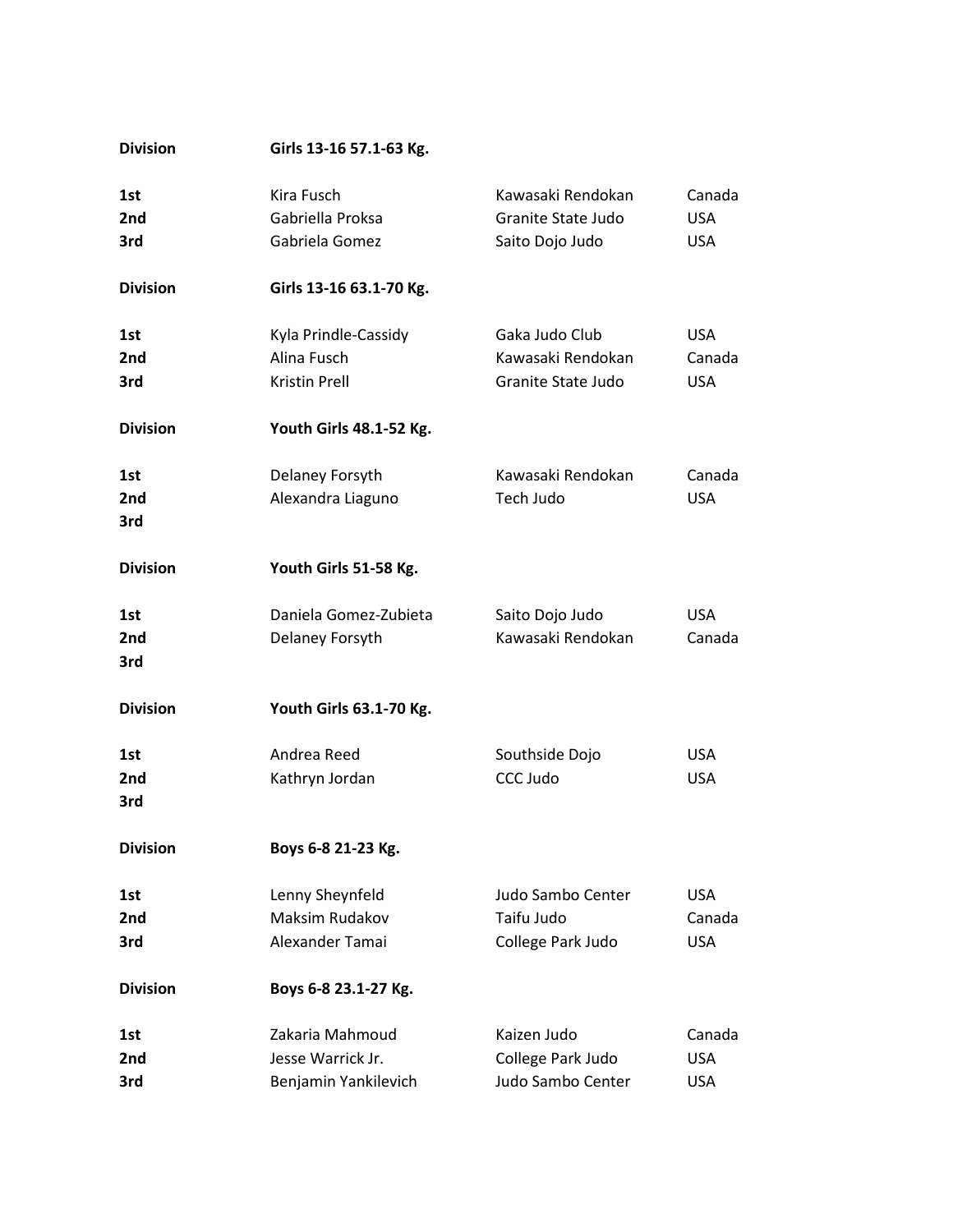| <b>Division</b> | Girls 13-16 57.1-63 Kg. |                    |            |
|-----------------|-------------------------|--------------------|------------|
| 1st             | Kira Fusch              | Kawasaki Rendokan  | Canada     |
| 2nd             | Gabriella Proksa        | Granite State Judo | <b>USA</b> |
| 3rd             | Gabriela Gomez          | Saito Dojo Judo    | <b>USA</b> |
| <b>Division</b> | Girls 13-16 63.1-70 Kg. |                    |            |
| 1st             | Kyla Prindle-Cassidy    | Gaka Judo Club     | <b>USA</b> |
| 2nd             | Alina Fusch             | Kawasaki Rendokan  | Canada     |
| 3rd             | <b>Kristin Prell</b>    | Granite State Judo | <b>USA</b> |
| <b>Division</b> | Youth Girls 48.1-52 Kg. |                    |            |
| 1st             | Delaney Forsyth         | Kawasaki Rendokan  | Canada     |
| 2nd             | Alexandra Liaguno       | Tech Judo          | <b>USA</b> |
| 3rd             |                         |                    |            |
| <b>Division</b> | Youth Girls 51-58 Kg.   |                    |            |
| 1st             | Daniela Gomez-Zubieta   | Saito Dojo Judo    | <b>USA</b> |
| 2nd             | Delaney Forsyth         | Kawasaki Rendokan  | Canada     |
| 3rd             |                         |                    |            |
| <b>Division</b> | Youth Girls 63.1-70 Kg. |                    |            |
| 1st             | Andrea Reed             | Southside Dojo     | <b>USA</b> |
| 2nd             | Kathryn Jordan          | CCC Judo           | <b>USA</b> |
| 3rd             |                         |                    |            |
| <b>Division</b> | Boys 6-8 21-23 Kg.      |                    |            |
| 1st             | Lenny Sheynfeld         | Judo Sambo Center  | <b>USA</b> |
| 2nd             | Maksim Rudakov          | Taifu Judo         | Canada     |
| 3rd             | Alexander Tamai         | College Park Judo  | <b>USA</b> |
| <b>Division</b> | Boys 6-8 23.1-27 Kg.    |                    |            |
| 1st             | Zakaria Mahmoud         | Kaizen Judo        | Canada     |
| 2nd             | Jesse Warrick Jr.       | College Park Judo  | <b>USA</b> |
| 3rd             | Benjamin Yankilevich    | Judo Sambo Center  | <b>USA</b> |
|                 |                         |                    |            |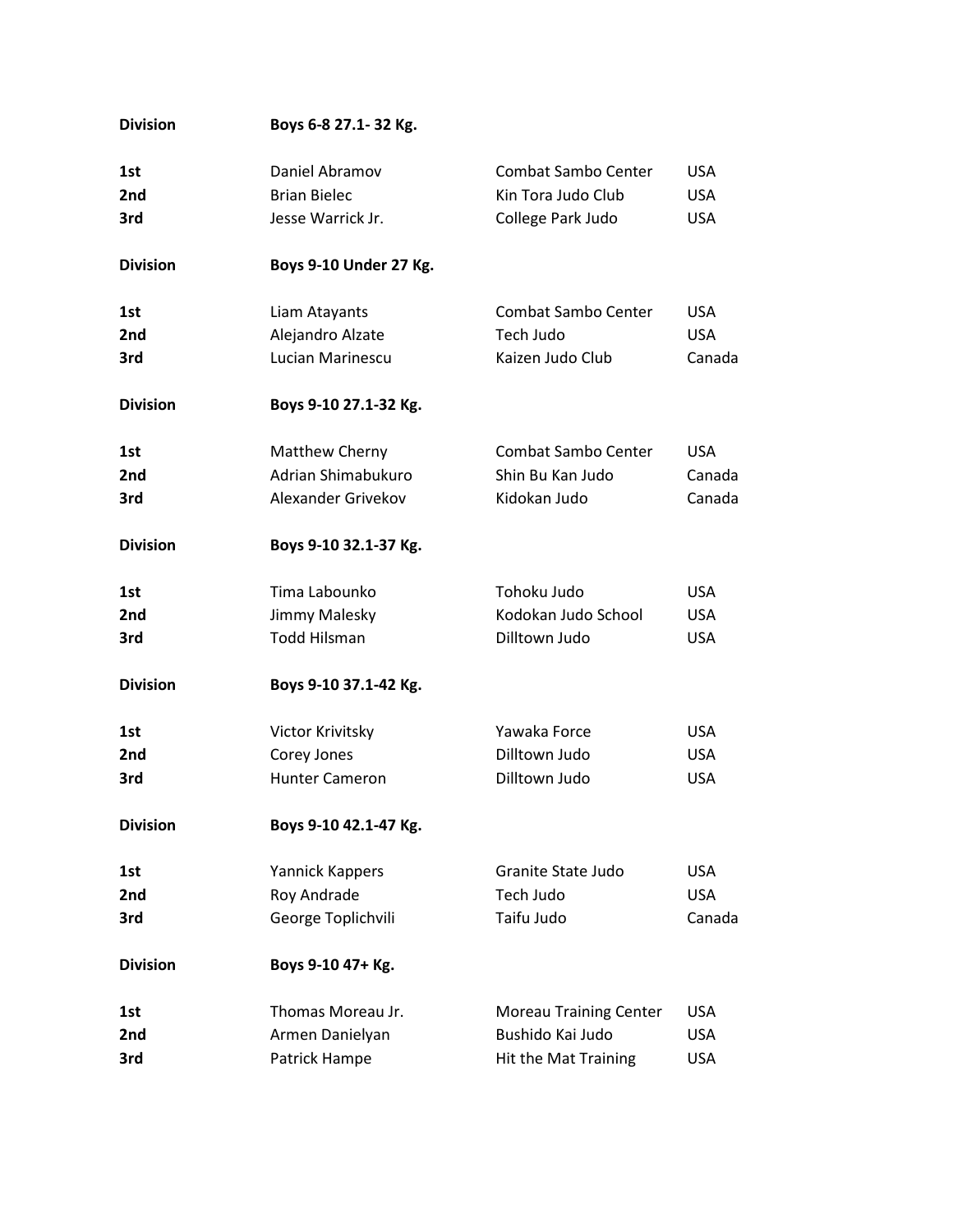| <b>Division</b> | Boys 6-8 27.1-32 Kg.   |                               |            |
|-----------------|------------------------|-------------------------------|------------|
| 1st             | Daniel Abramov         | Combat Sambo Center           | <b>USA</b> |
| 2nd             | <b>Brian Bielec</b>    | Kin Tora Judo Club            | <b>USA</b> |
| 3rd             | Jesse Warrick Jr.      | College Park Judo             | <b>USA</b> |
| <b>Division</b> | Boys 9-10 Under 27 Kg. |                               |            |
| 1st             | Liam Atayants          | Combat Sambo Center           | <b>USA</b> |
| 2nd             | Alejandro Alzate       | Tech Judo                     | <b>USA</b> |
| 3rd             | Lucian Marinescu       | Kaizen Judo Club              | Canada     |
| <b>Division</b> | Boys 9-10 27.1-32 Kg.  |                               |            |
| 1st             | Matthew Cherny         | Combat Sambo Center           | <b>USA</b> |
| 2nd             | Adrian Shimabukuro     | Shin Bu Kan Judo              | Canada     |
| 3rd             | Alexander Grivekov     | Kidokan Judo                  | Canada     |
| <b>Division</b> | Boys 9-10 32.1-37 Kg.  |                               |            |
| 1st             | Tima Labounko          | Tohoku Judo                   | <b>USA</b> |
| 2nd             | Jimmy Malesky          | Kodokan Judo School           | <b>USA</b> |
| 3rd             | <b>Todd Hilsman</b>    | Dilltown Judo                 | <b>USA</b> |
| <b>Division</b> | Boys 9-10 37.1-42 Kg.  |                               |            |
| 1st             | Victor Krivitsky       | Yawaka Force                  | <b>USA</b> |
| 2nd             | Corey Jones            | Dilltown Judo                 | <b>USA</b> |
| 3rd             | <b>Hunter Cameron</b>  | Dilltown Judo                 | <b>USA</b> |
| <b>Division</b> | Boys 9-10 42.1-47 Kg.  |                               |            |
| 1st             | Yannick Kappers        | Granite State Judo            | <b>USA</b> |
| 2nd             | Roy Andrade            | Tech Judo                     | <b>USA</b> |
| 3rd             | George Toplichvili     | Taifu Judo                    | Canada     |
| <b>Division</b> | Boys 9-10 47+ Kg.      |                               |            |
| 1st             | Thomas Moreau Jr.      | <b>Moreau Training Center</b> | <b>USA</b> |
| 2nd             | Armen Danielyan        | Bushido Kai Judo              | <b>USA</b> |
| 3rd             | Patrick Hampe          | Hit the Mat Training          | <b>USA</b> |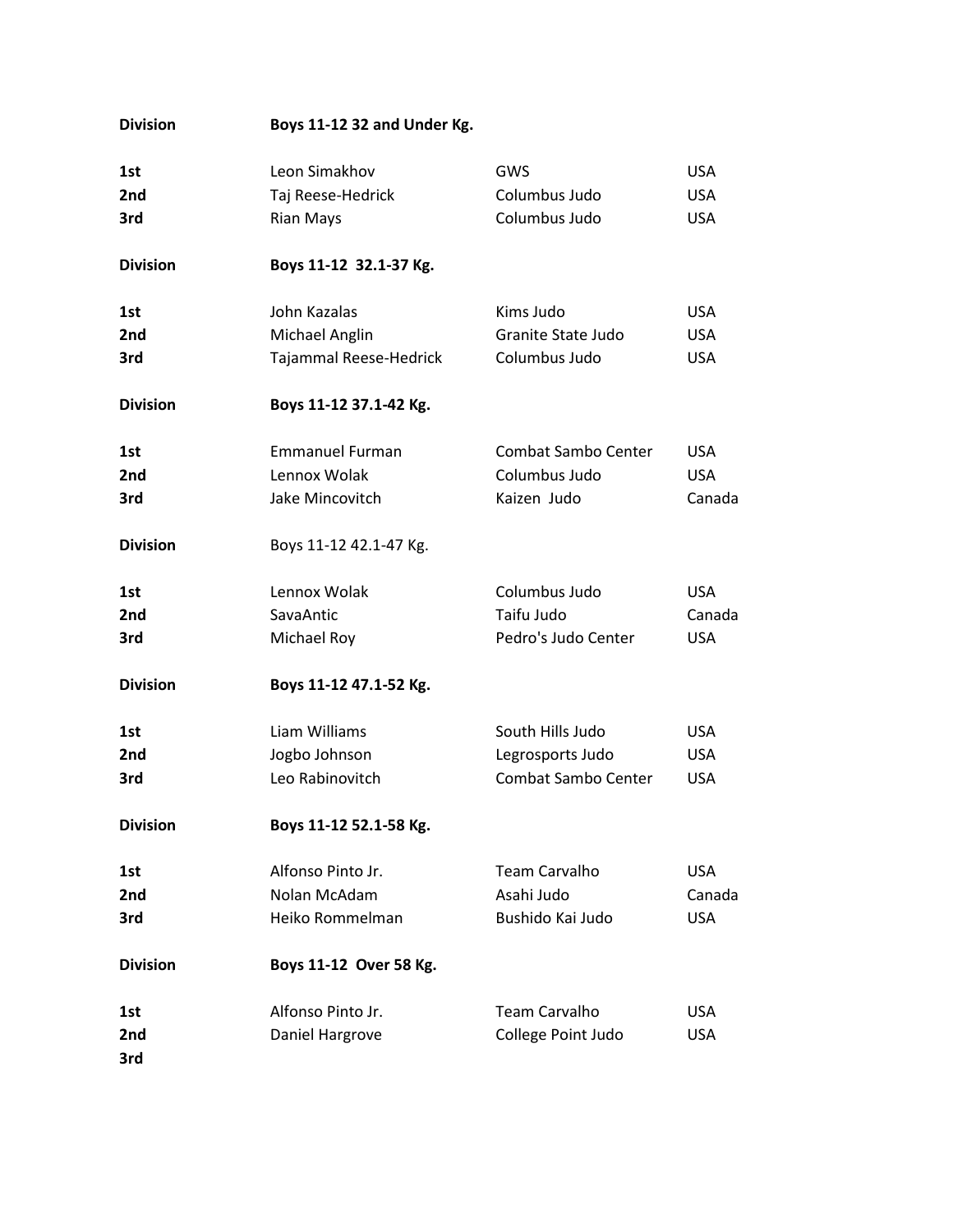| <b>Division</b> | Boys 11-12 32 and Under Kg. |                            |            |
|-----------------|-----------------------------|----------------------------|------------|
| 1st             | Leon Simakhov               | GWS                        | <b>USA</b> |
| 2nd             | Taj Reese-Hedrick           | Columbus Judo              | <b>USA</b> |
| 3rd             | <b>Rian Mays</b>            | Columbus Judo              | <b>USA</b> |
|                 |                             |                            |            |
| <b>Division</b> | Boys 11-12 32.1-37 Kg.      |                            |            |
| 1st             | John Kazalas                | Kims Judo                  | <b>USA</b> |
| 2nd             | Michael Anglin              | Granite State Judo         | <b>USA</b> |
| 3rd             | Tajammal Reese-Hedrick      | Columbus Judo              | <b>USA</b> |
| <b>Division</b> | Boys 11-12 37.1-42 Kg.      |                            |            |
| 1st             | <b>Emmanuel Furman</b>      | <b>Combat Sambo Center</b> | <b>USA</b> |
| 2nd             | Lennox Wolak                | Columbus Judo              | <b>USA</b> |
| 3rd             | Jake Mincovitch             | Kaizen Judo                | Canada     |
| <b>Division</b> | Boys 11-12 42.1-47 Kg.      |                            |            |
| 1st             | Lennox Wolak                | Columbus Judo              | <b>USA</b> |
| 2nd             | SavaAntic                   | Taifu Judo                 | Canada     |
| 3rd             | Michael Roy                 | Pedro's Judo Center        | <b>USA</b> |
| <b>Division</b> | Boys 11-12 47.1-52 Kg.      |                            |            |
| 1st             | Liam Williams               | South Hills Judo           | <b>USA</b> |
| 2nd             | Jogbo Johnson               | Legrosports Judo           | <b>USA</b> |
| 3rd             | Leo Rabinovitch             | Combat Sambo Center        | <b>USA</b> |
| <b>Division</b> | Boys 11-12 52.1-58 Kg.      |                            |            |
| 1st             | Alfonso Pinto Jr.           | <b>Team Carvalho</b>       | <b>USA</b> |
| 2nd             | Nolan McAdam                | Asahi Judo                 | Canada     |
| 3rd             | Heiko Rommelman             | Bushido Kai Judo           | <b>USA</b> |
| <b>Division</b> | Boys 11-12 Over 58 Kg.      |                            |            |
| 1st             | Alfonso Pinto Jr.           | <b>Team Carvalho</b>       | <b>USA</b> |
| 2nd             | Daniel Hargrove             | College Point Judo         | <b>USA</b> |
| 3rd             |                             |                            |            |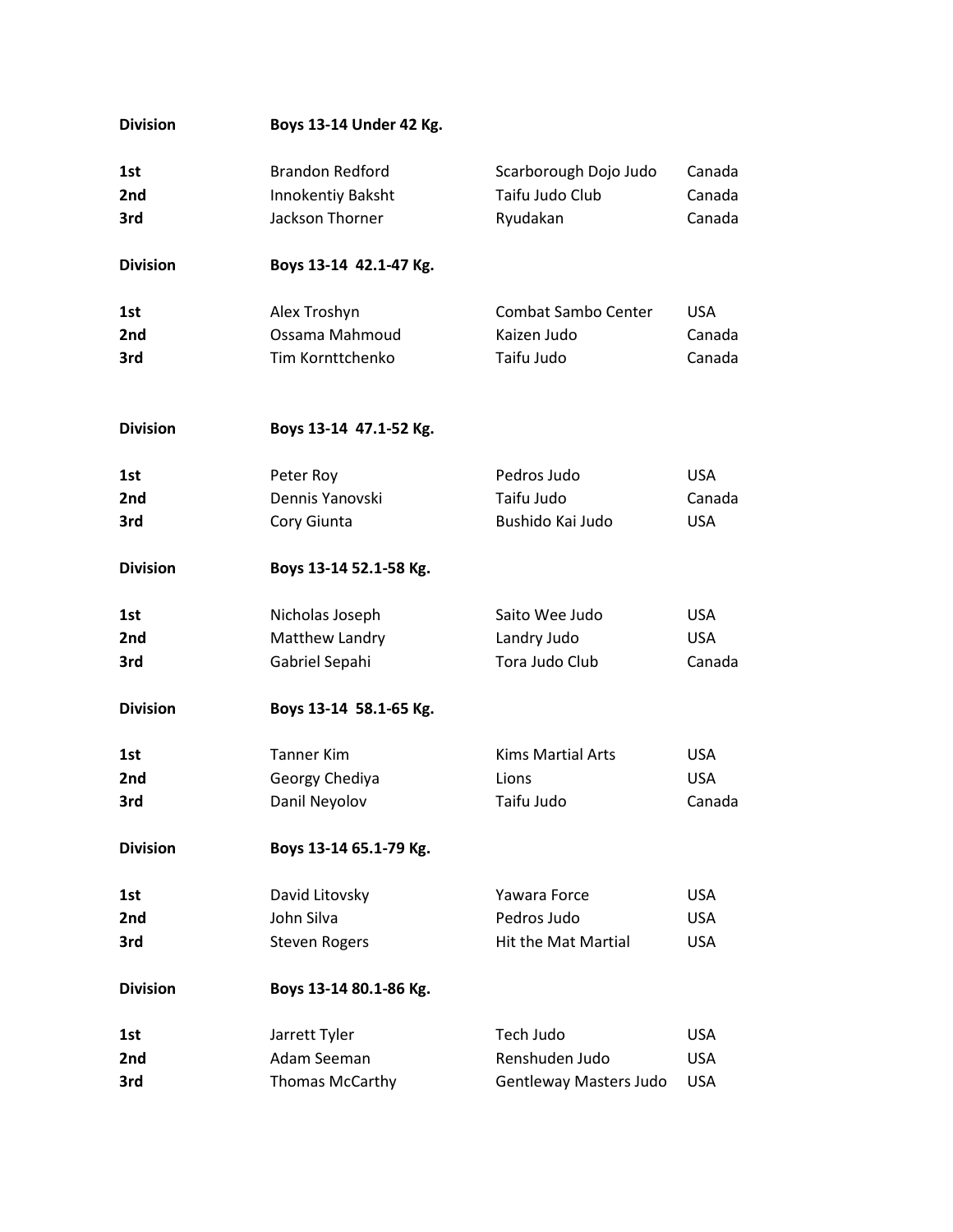| <b>Division</b> | Boys 13-14 Under 42 Kg. |                               |            |
|-----------------|-------------------------|-------------------------------|------------|
| 1st             | <b>Brandon Redford</b>  | Scarborough Dojo Judo         | Canada     |
| 2nd             | Innokentiy Baksht       | Taifu Judo Club               | Canada     |
| 3rd             | Jackson Thorner         | Ryudakan                      | Canada     |
|                 |                         |                               |            |
| <b>Division</b> | Boys 13-14 42.1-47 Kg.  |                               |            |
| 1st             | Alex Troshyn            | Combat Sambo Center           | <b>USA</b> |
| 2nd             | Ossama Mahmoud          | Kaizen Judo                   | Canada     |
| 3rd             | Tim Kornttchenko        | Taifu Judo                    | Canada     |
| <b>Division</b> | Boys 13-14 47.1-52 Kg.  |                               |            |
| 1st             | Peter Roy               | Pedros Judo                   | <b>USA</b> |
| 2nd             | Dennis Yanovski         | Taifu Judo                    | Canada     |
| 3rd             | Cory Giunta             | Bushido Kai Judo              | <b>USA</b> |
| <b>Division</b> | Boys 13-14 52.1-58 Kg.  |                               |            |
| 1st             | Nicholas Joseph         | Saito Wee Judo                | <b>USA</b> |
| 2nd             | Matthew Landry          | Landry Judo                   | <b>USA</b> |
| 3rd             | Gabriel Sepahi          | Tora Judo Club                | Canada     |
| <b>Division</b> | Boys 13-14 58.1-65 Kg.  |                               |            |
| 1st             | <b>Tanner Kim</b>       | <b>Kims Martial Arts</b>      | <b>USA</b> |
| 2 <sub>nd</sub> | Georgy Chediya          | Lions                         | <b>USA</b> |
| 3rd             | Danil Neyolov           | Taifu Judo                    | Canada     |
| <b>Division</b> | Boys 13-14 65.1-79 Kg.  |                               |            |
| 1st             | David Litovsky          | Yawara Force                  | <b>USA</b> |
| 2nd             | John Silva              | Pedros Judo                   | <b>USA</b> |
| 3rd             | <b>Steven Rogers</b>    | <b>Hit the Mat Martial</b>    | <b>USA</b> |
| <b>Division</b> | Boys 13-14 80.1-86 Kg.  |                               |            |
| 1st             | Jarrett Tyler           | Tech Judo                     | <b>USA</b> |
| 2nd             | Adam Seeman             | Renshuden Judo                | <b>USA</b> |
| 3rd             | Thomas McCarthy         | <b>Gentleway Masters Judo</b> | <b>USA</b> |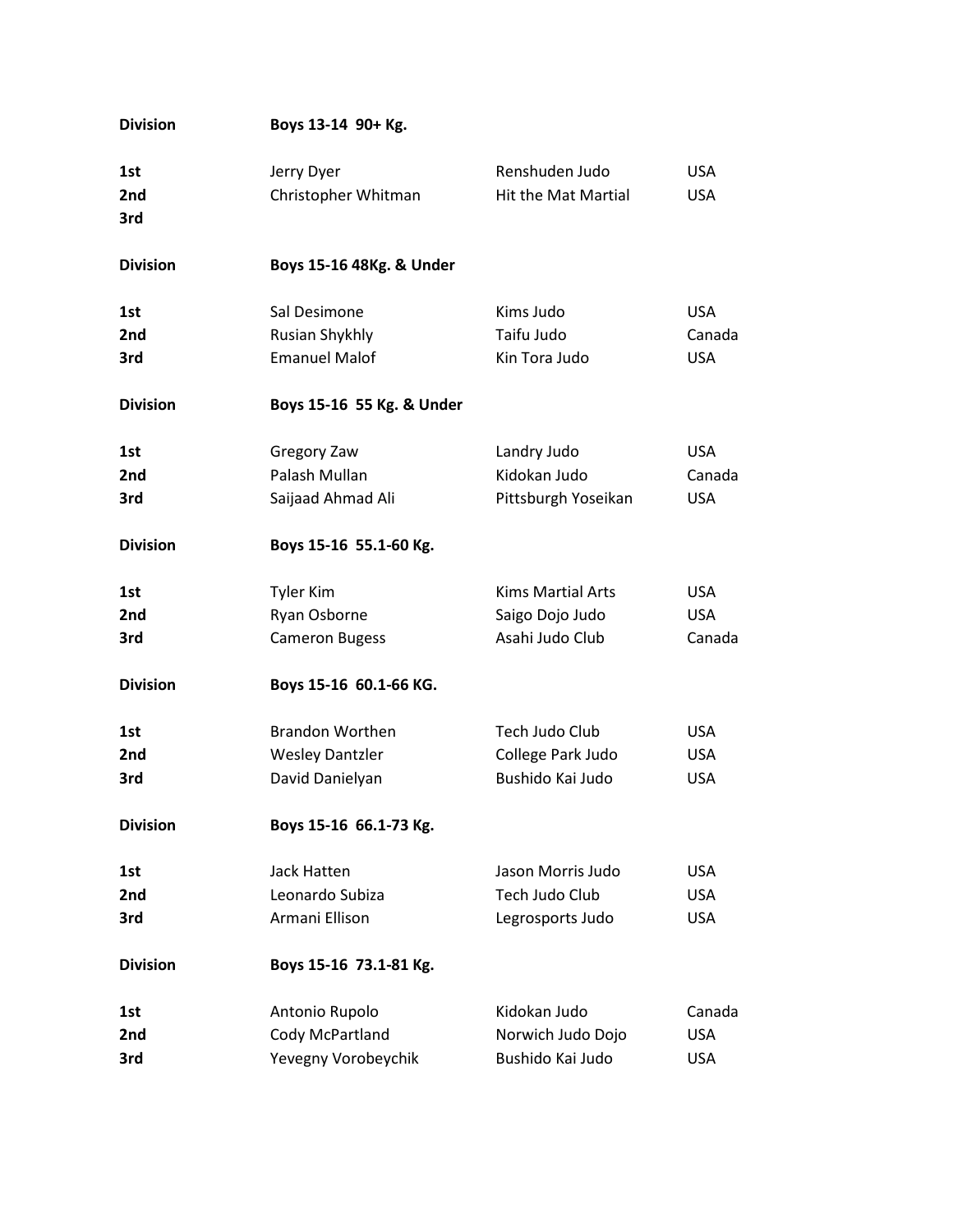| <b>Division</b> | Boys 13-14 90+ Kg.        |                            |            |
|-----------------|---------------------------|----------------------------|------------|
| 1st             | Jerry Dyer                | Renshuden Judo             | <b>USA</b> |
| 2nd             | Christopher Whitman       | <b>Hit the Mat Martial</b> | <b>USA</b> |
| 3rd             |                           |                            |            |
| <b>Division</b> | Boys 15-16 48Kg. & Under  |                            |            |
| 1st             | Sal Desimone              | Kims Judo                  | <b>USA</b> |
| 2nd             | Rusian Shykhly            | Taifu Judo                 | Canada     |
| 3rd             | <b>Emanuel Malof</b>      | Kin Tora Judo              | <b>USA</b> |
| <b>Division</b> | Boys 15-16 55 Kg. & Under |                            |            |
| 1st             | Gregory Zaw               | Landry Judo                | <b>USA</b> |
| 2nd             | Palash Mullan             | Kidokan Judo               | Canada     |
| 3rd             | Saijaad Ahmad Ali         | Pittsburgh Yoseikan        | <b>USA</b> |
| <b>Division</b> | Boys 15-16 55.1-60 Kg.    |                            |            |
| 1st             | <b>Tyler Kim</b>          | <b>Kims Martial Arts</b>   | <b>USA</b> |
| 2nd             | Ryan Osborne              | Saigo Dojo Judo            | <b>USA</b> |
| 3rd             | <b>Cameron Bugess</b>     | Asahi Judo Club            | Canada     |
| <b>Division</b> | Boys 15-16 60.1-66 KG.    |                            |            |
| 1st             | <b>Brandon Worthen</b>    | Tech Judo Club             | <b>USA</b> |
| 2nd             | <b>Wesley Dantzler</b>    | College Park Judo          | <b>USA</b> |
| 3rd             | David Danielyan           | Bushido Kai Judo           | <b>USA</b> |
| <b>Division</b> | Boys 15-16 66.1-73 Kg.    |                            |            |
| 1st             | Jack Hatten               | Jason Morris Judo          | <b>USA</b> |
| 2nd             | Leonardo Subiza           | Tech Judo Club             | <b>USA</b> |
| 3rd             | Armani Ellison            | Legrosports Judo           | <b>USA</b> |
| <b>Division</b> | Boys 15-16 73.1-81 Kg.    |                            |            |
| 1st             | Antonio Rupolo            | Kidokan Judo               | Canada     |
| 2nd             | Cody McPartland           | Norwich Judo Dojo          | <b>USA</b> |
| 3rd             | Yevegny Vorobeychik       | Bushido Kai Judo           | <b>USA</b> |